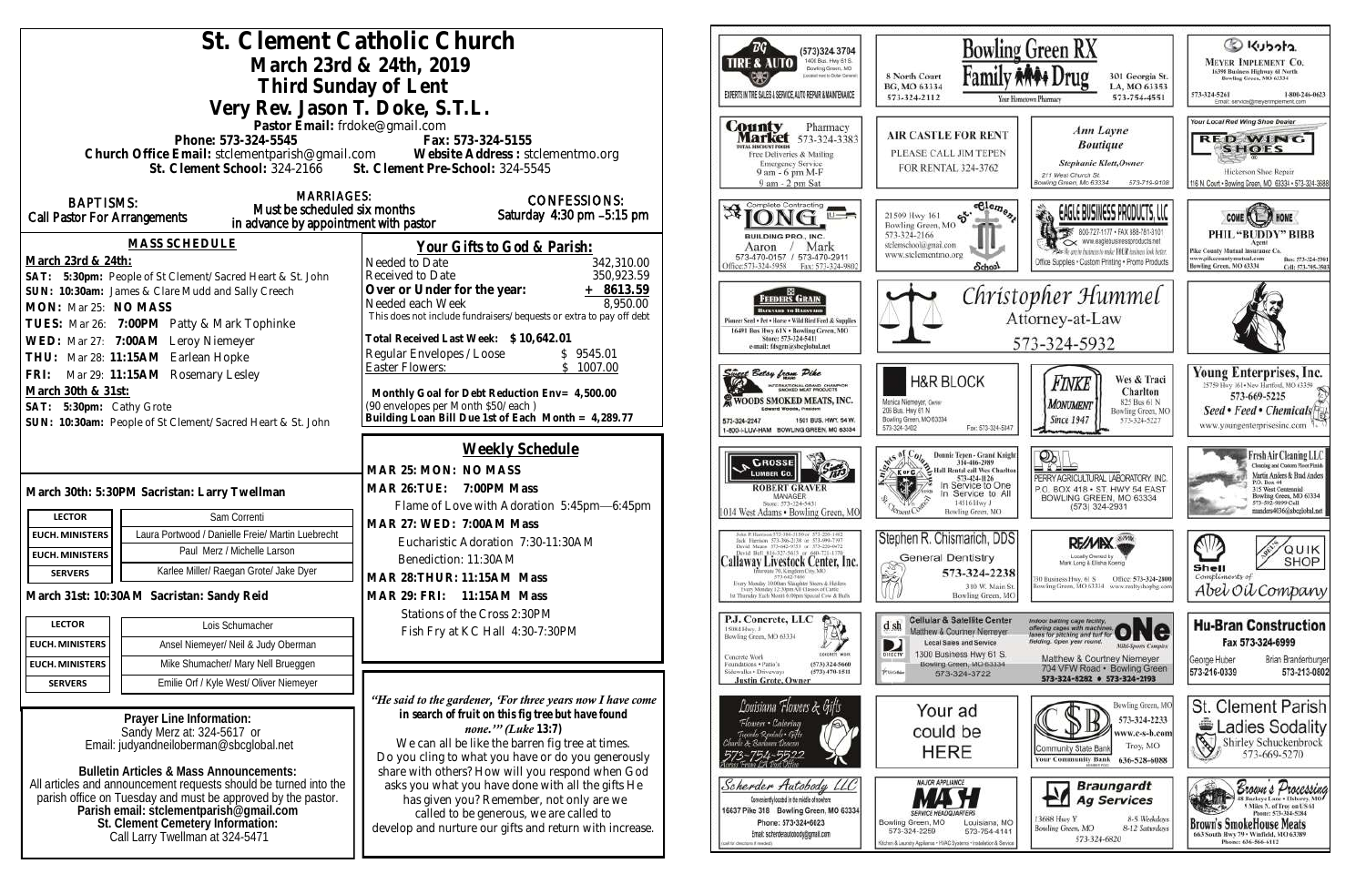|                                                                      |                                                                                                                        | St. Clement Catholic Church                                                                           | ТG<br>(573)324 3704                                                                                                                     | Bowl                                                                      |
|----------------------------------------------------------------------|------------------------------------------------------------------------------------------------------------------------|-------------------------------------------------------------------------------------------------------|-----------------------------------------------------------------------------------------------------------------------------------------|---------------------------------------------------------------------------|
|                                                                      |                                                                                                                        | March 23rd & 24th, 2019                                                                               | 1400 Busi. Hwy 61 S.<br><b>TIRE &amp; AUTO</b><br>Bowling Green, MO                                                                     |                                                                           |
|                                                                      | Third Sunday of Lent                                                                                                   |                                                                                                       | Located next to Dollar General<br>œ                                                                                                     | Fami<br>8 North Court<br>BG, MO 63334                                     |
|                                                                      | Very Rev. Jason T. Doke, S.T.L.                                                                                        |                                                                                                       | EXPERTS IN THE SALES & SERVICE, AUTO REPAIR & MAINTENANCE                                                                               | 573-324-2112                                                              |
|                                                                      | Pastor Email: frdoke@gmail.com                                                                                         |                                                                                                       | <b>County</b>                                                                                                                           |                                                                           |
|                                                                      | Phone: 573-324-5545                                                                                                    | Fax: 573-324-5155                                                                                     | Pharmacy<br><b>Market</b> 573-324-3383                                                                                                  | <b>AIR CASTLE FOR REN</b>                                                 |
|                                                                      |                                                                                                                        |                                                                                                       | <b>OTAL DISCOUNT POODS</b><br>Free Deliveries & Mailing                                                                                 | PLEASE CALL JIM TEPE                                                      |
|                                                                      |                                                                                                                        |                                                                                                       | <b>Emergency Service</b><br>9 am - 6 pm M-F                                                                                             | FOR RENTAL 324-3762                                                       |
|                                                                      | <b>MARRIAGES:</b>                                                                                                      |                                                                                                       | 9 am - 2 pm Sat                                                                                                                         |                                                                           |
| <b>BAPTISMS:</b><br><b>Call Pastor For Arrangements</b>              | Must be scheduled six months                                                                                           | <b>CONFESSIONS:</b><br>Saturday 4:30 pm -5:15 pm                                                      | <b>AIONG</b>                                                                                                                            | 5.999<br>21509 Hwy 161                                                    |
|                                                                      | in advance by appointment with pastor                                                                                  |                                                                                                       | BUILDING PRO., INC.                                                                                                                     | Bowling Green, MO<br>573-324-2166                                         |
|                                                                      | MASS SCHEDULE                                                                                                          | Your Gifts to God & Parish:                                                                           | Mark<br>Aaron                                                                                                                           | stelemschool@gmail.com<br>www.stelementmo.org                             |
| March 23rd & 24th:                                                   |                                                                                                                        | Needed to Date<br>342,310.00                                                                          | 573-470-0157 / 573-470-2911<br>Office: 573-324-5958 Fax: 573-324-9802                                                                   | <b>School</b>                                                             |
|                                                                      | SAT: 5:30pm: People of St Clement/Sacred Heart & St. John                                                              | 350,923.59<br>Received to Date<br>Over or Under for the year:<br>$+ 8613.59$                          |                                                                                                                                         |                                                                           |
| MON: Mar 25: NO MASS                                                 | SUN: 10:30am: James & Clare Mudd and Sally Creech                                                                      | 8,950.00<br>Needed each Week                                                                          | FEEDERS GRAIN                                                                                                                           | Chr                                                                       |
|                                                                      | TUES: Mar 26: 7:00PM Patty & Mark Tophinke                                                                             | This does not include fundraisers/bequests or extra to pay off debt                                   | <b>BACKYARD TO BASSYARD</b><br>Pioneer Seed . Pet . Horse . Wild Bird Feed & Supplies                                                   |                                                                           |
|                                                                      | WED: Mar 27: 7:00AM Leroy Niemeyer                                                                                     | Total Received Last Week: \$10,642.01                                                                 | 16491 Bus Hwy 61N . Bowling Green, MO<br>Store: 573-324-5411                                                                            |                                                                           |
| THU: Mar 28: 11:15AM Earlean Hopke                                   |                                                                                                                        | Regular Envelopes / Loose<br>\$9545.01                                                                | e-mail: fdsgrn@sheglobal.net                                                                                                            |                                                                           |
| FRI: Mar 29: 11:15AM Rosemary Lesley                                 |                                                                                                                        | \$1007.00<br>Easter Flowers:                                                                          | <b>Sugge Betsy from Pike</b>                                                                                                            | <b>H&amp;R BLOCK</b>                                                      |
| March 30th & 31st:                                                   |                                                                                                                        | Monthly Goal for Debt Reduction Env= 4,500.00                                                         | INTERNATIONAL GRAND CHAMPION<br>WOODS SMOKED MEATS, INC.                                                                                |                                                                           |
| SAT: 5:30pm: Cathy Grote                                             |                                                                                                                        | (90 envelopes per Month \$50/each)<br>Building Loan Bill Due 1st of Each Month = 4,289.77             | Edward Woods, President                                                                                                                 | Monica Niemeyer, Owner<br>206 Bus. Hwy 61 N                               |
|                                                                      | SUN: 10:30am: People of St Clement/Sacred Heart & St. John                                                             |                                                                                                       | 1501 BUS, HWY, 54 W.<br>573-324-2247<br>1-800-I-LUV-HAM BOWLING GREEN, MO 63334                                                         | Bowling Green, MO 63334<br>Fax: 573-324<br>573-324-3402                   |
|                                                                      |                                                                                                                        | Weekly Schedule                                                                                       |                                                                                                                                         |                                                                           |
|                                                                      |                                                                                                                        | MAR 25: MON: NO MASS                                                                                  | CROSSE<br><b>LUMBER CO.</b>                                                                                                             | <b>Donnie Tepen - Grand 1<br/>314-486-2989</b><br>Hall Rental call Wes Ch |
|                                                                      | March 30th: 5:30PM Sacristan: Larry Twellman                                                                           | <b>MAR 26: TUE:</b><br>7:00PM Mass                                                                    | <b>ROBERT GRAVER</b>                                                                                                                    | 573-424-1126<br>In Service to C<br>In Service to                          |
|                                                                      |                                                                                                                        | Flame of Love with Adoration 5:45pm-6:45pm                                                            | <b>MANAGER</b><br>Store: 573-324-5431                                                                                                   | 14516 Hwy J                                                               |
| <b>LECTOR</b>                                                        | Sam Correnti                                                                                                           | MAR 27: WED: 7:00AM Mass                                                                              | 1014 West Adams . Bowling Green, MO                                                                                                     | Bowling Green, MC                                                         |
| <b>EUCH. MINISTERS</b>                                               | Laura Portwood / Danielle Freie/ Martin Luebrecht                                                                      | Eucharistic Adoration 7:30-11:30AM                                                                    | John P. Harrison 573-386-3130 or 573-220-1482<br>Jock Harrison 573-386-2138 or 573-990-7197<br>David Mauns 573-642-9753 or 573-220-0472 | Stephen R. Chismarich, D                                                  |
| <b>EUCH. MINISTERS</b>                                               | Paul Merz / Michelle Larson                                                                                            | Benediction: 11:30AM                                                                                  | David Bell 816-327-5633 or 660-T21-1370<br>Callaway Livestock Center, Inc.                                                              | <b>General Dentistry</b>                                                  |
| <b>SERVERS</b>                                                       | Karlee Miller/ Raegan Grote/ Jake Dyer                                                                                 | MAR 28: THUR: 11:15AM Mass                                                                            | farroate 70, Kingdom City, MO<br>573-642-7486<br>Every Monday 10:00am Shinghter Steers & Heilero                                        | <b>CONTROL</b><br>573-324-22                                              |
| March 31st: 10:30AM Sacristan: Sandy Reid                            |                                                                                                                        | MAR 29: FRI: 11:15AM Mass                                                                             | Every Monitey 12:30pm All Classes of Cattle<br>Thursday Each Month 6:00pm Spiecial Cow & Hulls                                          | 310 W. Ma<br><b>Bowling Green</b>                                         |
|                                                                      |                                                                                                                        | Stations of the Cross 2:30PM                                                                          | P.J. Concrete, LLC                                                                                                                      | Cellular & Satellite Cer                                                  |
| <b>LECTOR</b>                                                        | Lois Schumacher                                                                                                        | Fish Fry at KC Hall 4:30-7:30PM                                                                       | 學<br>15084 Hwy. J<br>Bowling Green, MO 63334                                                                                            | $d$ sh<br>Matthew & Courtney Niemer                                       |
| <b>EUCH. MINISTERS</b>                                               | Ansel Niemeyer/ Neil & Judy Oberman                                                                                    |                                                                                                       | <b>CONDITION WORK</b><br>Concrete Work                                                                                                  | Local Sales and Service<br>D<br>1300 Business Hwy 61<br>DIRECTV           |
| <b>EUCH. MINISTERS</b>                                               | Mike Shumacher/ Mary Nell Brueggen                                                                                     |                                                                                                       | Foundations . Patio's<br>(573) 324-5660<br>Sidewalks + Driveways<br>$(573)$ 470-1511                                                    | Bowling-Green, MO 6333<br>PUGGes<br>573-324-3722                          |
| <b>SERVERS</b>                                                       | Emilie Orf / Kyle West/ Oliver Niemeyer                                                                                |                                                                                                       | <b>Justin Grote, Owner</b>                                                                                                              |                                                                           |
|                                                                      |                                                                                                                        | "He said to the gardener, 'For three years now I have come                                            | Louisiana Flowers & Gifts                                                                                                               | Your ad                                                                   |
|                                                                      | Prayer Line Information:<br>Sandy Merz at: 324-5617 or                                                                 | in search of fruit on this fig tree but have found<br>none."" (Luke $13:7$ )                          | Flowers • Catering                                                                                                                      | could be                                                                  |
|                                                                      | Email: judyandneiloberman@sbcqlobal.net                                                                                | We can all be like the barren fig tree at times.                                                      | Tuxedo Rentals • Gifts<br>sarle & Baranna Desenn                                                                                        |                                                                           |
|                                                                      |                                                                                                                        | Do you cling to what you have or do you generously                                                    |                                                                                                                                         | HERE                                                                      |
|                                                                      | <b>Bulletin Articles &amp; Mass Announcements:</b><br>All articles and announcement requests should be turned into the | share with others? How will you respond when God<br>asks you what you have done with all the gifts He | Scherder Autobody LLC                                                                                                                   | <b>MAJOR APPLIANCE</b>                                                    |
|                                                                      | parish office on Tuesday and must be approved by the pastor.                                                           | has given you? Remember, not only are we                                                              | Conveniently located in the middle of nowhere                                                                                           |                                                                           |
|                                                                      | Parish email: stclementparish@gmail.com                                                                                | called to be generous, we are called to                                                               | 16637 Pike 318 Bowling Green, MO 63334<br>Phone: 573-324-6023                                                                           | Bowling Green, MO<br>Louisiana,                                           |
| St. Clement Cemetery Information:<br>Call Larry Twellman at 324-5471 |                                                                                                                        | develop and nurture our gifts and return with increase.                                               | Email: scherderautobody@gmail.com                                                                                                       | 573-324-2259<br>573-754-4                                                 |
|                                                                      |                                                                                                                        |                                                                                                       | (bubare 8 protons) to lap                                                                                                               | Kitchen & Laundry Appliance - HVAC Systems - Installation &               |
|                                                                      |                                                                                                                        |                                                                                                       |                                                                                                                                         |                                                                           |